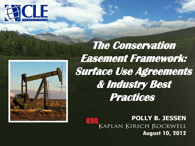



**The Conservation Easement Framework: Surface Use Agreements & Industry Best Practices** 

> **POLLY B. JESSEN** KAPLAN KIRSCH ROCKWELL **August 10, 2012**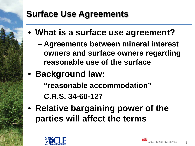### **Surface Use Agreements**

- **What is a surface use agreement?**
	- **Agreements between mineral interest owners and surface owners regarding reasonable use of the surface**
- **Background law:** 
	- **"reasonable accommodation"**
	- **C.R.S. 34-60-127**
- **Relative bargaining power of the parties will affect the terms**

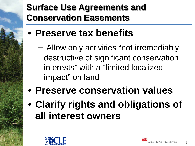### **Surface Use Agreements and Conservation Easements**

- **Preserve tax benefits**
	- Allow only activities "not irremediably destructive of significant conservation interests" with a "limited localized impact" on land
- **Preserve conservation values**
- **Clarify rights and obligations of all interest owners**

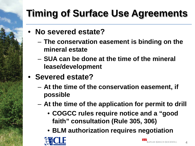# **Timing of Surface Use Agreements**

- **No severed estate?**
	- **The conservation easement is binding on the mineral estate**
	- **SUA can be done at the time of the mineral lease/development**
- **Severed estate?**
	- **At the time of the conservation easement, if possible**
	- **At the time of the application for permit to drill**
		- **COGCC rules require notice and a "good faith" consultation (Rule 305, 306)**
		- **BLM authorization requires negotiation**

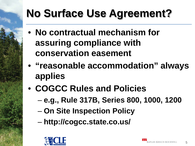# **No Surface Use Agreement?**

- **No contractual mechanism for assuring compliance with conservation easement**
- **"reasonable accommodation" always applies**
- **COGCC Rules and Policies**
	- **e.g., Rule 317B, Series 800, 1000, 1200**
	- **On Site Inspection Policy**
	- **http://cogcc.state.co.us/**

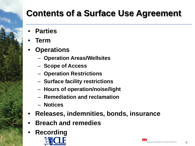## **Contents of a Surface Use Agreement**

- **Parties**
- **Term**
- **Operations** 
	- **Operation Areas/Wellsites**
	- **Scope of Access**
	- **Operation Restrictions**
	- **Surface facility restrictions**
	- **Hours of operation/noise/light**
	- **Remediation and reclamation**
	- **Notices**
- **Releases, indemnities, bonds, insurance**
- **Breach and remedies**
- **Recording**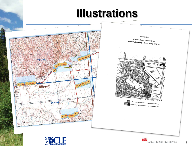# **Illustrations**





□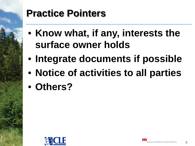# **Practice Pointers**

- **Know what, if any, interests the surface owner holds**
- **Integrate documents if possible**
- **Notice of activities to all parties**
- **Others?**